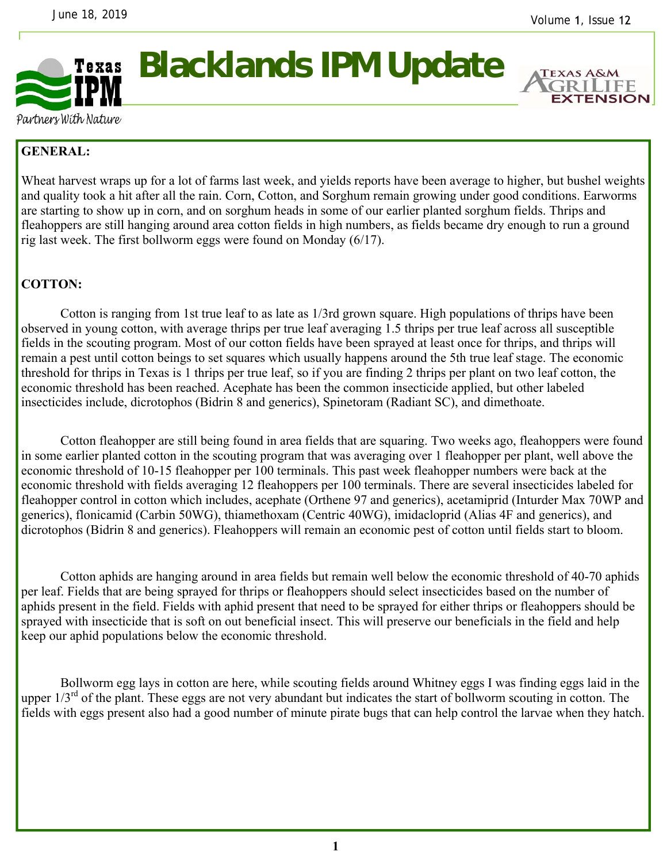

# **Blacklands IPM Update**



Partners With Nature

## **GENERAL:**

Wheat harvest wraps up for a lot of farms last week, and yields reports have been average to higher, but bushel weights and quality took a hit after all the rain. Corn, Cotton, and Sorghum remain growing under good conditions. Earworms are starting to show up in corn, and on sorghum heads in some of our earlier planted sorghum fields. Thrips and fleahoppers are still hanging around area cotton fields in high numbers, as fields became dry enough to run a ground rig last week. The first bollworm eggs were found on Monday (6/17).

## **COTTON:**

Cotton is ranging from 1st true leaf to as late as 1/3rd grown square. High populations of thrips have been observed in young cotton, with average thrips per true leaf averaging 1.5 thrips per true leaf across all susceptible fields in the scouting program. Most of our cotton fields have been sprayed at least once for thrips, and thrips will remain a pest until cotton beings to set squares which usually happens around the 5th true leaf stage. The economic threshold for thrips in Texas is 1 thrips per true leaf, so if you are finding 2 thrips per plant on two leaf cotton, the economic threshold has been reached. Acephate has been the common insecticide applied, but other labeled insecticides include, dicrotophos (Bidrin 8 and generics), Spinetoram (Radiant SC), and dimethoate.

 Cotton fleahopper are still being found in area fields that are squaring. Two weeks ago, fleahoppers were found in some earlier planted cotton in the scouting program that was averaging over 1 fleahopper per plant, well above the economic threshold of 10-15 fleahopper per 100 terminals. This past week fleahopper numbers were back at the economic threshold with fields averaging 12 fleahoppers per 100 terminals. There are several insecticides labeled for fleahopper control in cotton which includes, acephate (Orthene 97 and generics), acetamiprid (Inturder Max 70WP and generics), flonicamid (Carbin 50WG), thiamethoxam (Centric 40WG), imidacloprid (Alias 4F and generics), and dicrotophos (Bidrin 8 and generics). Fleahoppers will remain an economic pest of cotton until fields start to bloom.

 Cotton aphids are hanging around in area fields but remain well below the economic threshold of 40-70 aphids per leaf. Fields that are being sprayed for thrips or fleahoppers should select insecticides based on the number of aphids present in the field. Fields with aphid present that need to be sprayed for either thrips or fleahoppers should be sprayed with insecticide that is soft on out beneficial insect. This will preserve our beneficials in the field and help keep our aphid populations below the economic threshold.

 Bollworm egg lays in cotton are here, while scouting fields around Whitney eggs I was finding eggs laid in the upper  $1/3<sup>rd</sup>$  of the plant. These eggs are not very abundant but indicates the start of bollworm scouting in cotton. The fields with eggs present also had a good number of minute pirate bugs that can help control the larvae when they hatch.